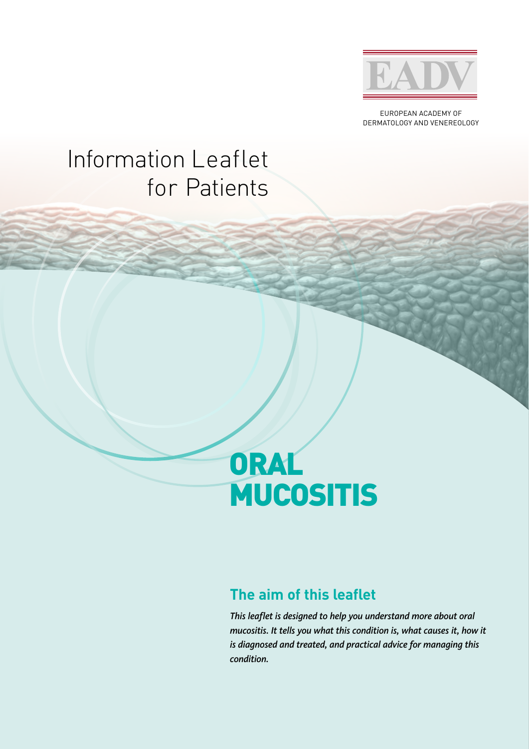

EUROPEAN ACADEMY OF DERMATOLOGY AND VENEREOLOGY

## Information Leaflet for Patients

# ORAL MUCOSITIS

### **The aim of this leaflet**

*This leaflet is designed to help you understand more about oral mucositis. It tells you what this condition is, what causes it, how it is diagnosed and treated, and practical advice for managing this condition.*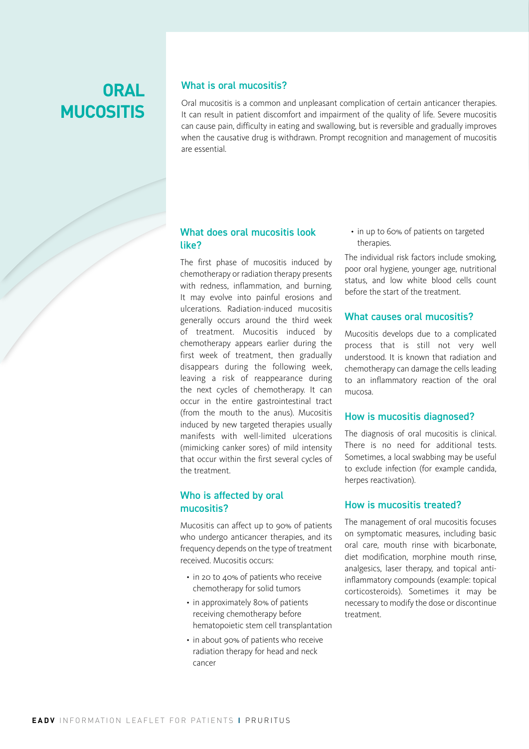## **ORAL MUCOSITIS**

#### What is oral mucositis?

Oral mucositis is a common and unpleasant complication of certain anticancer therapies. It can result in patient discomfort and impairment of the quality of life. Severe mucositis can cause pain, difficulty in eating and swallowing, but is reversible and gradually improves when the causative drug is withdrawn. Prompt recognition and management of mucositis are essential.

#### What does oral mucositis look like?

The first phase of mucositis induced by chemotherapy or radiation therapy presents with redness, inflammation, and burning. It may evolve into painful erosions and ulcerations. Radiation-induced mucositis generally occurs around the third week of treatment. Mucositis induced by chemotherapy appears earlier during the first week of treatment, then gradually disappears during the following week, leaving a risk of reappearance during the next cycles of chemotherapy. It can occur in the entire gastrointestinal tract (from the mouth to the anus). Mucositis induced by new targeted therapies usually manifests with well-limited ulcerations (mimicking canker sores) of mild intensity that occur within the first several cycles of the treatment.

#### Who is affected by oral mucositis?

Mucositis can affect up to 90% of patients who undergo anticancer therapies, and its frequency depends on the type of treatment received. Mucositis occurs:

- in 20 to 40% of patients who receive chemotherapy for solid tumors
- in approximately 80% of patients receiving chemotherapy before hematopoietic stem cell transplantation
- in about 90% of patients who receive radiation therapy for head and neck cancer

• in up to 60% of patients on targeted therapies.

The individual risk factors include smoking, poor oral hygiene, younger age, nutritional status, and low white blood cells count before the start of the treatment.

#### What causes oral mucositis?

Mucositis develops due to a complicated process that is still not very well understood. It is known that radiation and chemotherapy can damage the cells leading to an inflammatory reaction of the oral mucosa.

#### How is mucositis diagnosed?

The diagnosis of oral mucositis is clinical. There is no need for additional tests. Sometimes, a local swabbing may be useful to exclude infection (for example candida, herpes reactivation).

#### How is mucositis treated?

The management of oral mucositis focuses on symptomatic measures, including basic oral care, mouth rinse with bicarbonate, diet modification, morphine mouth rinse, analgesics, laser therapy, and topical antiinflammatory compounds (example: topical corticosteroids). Sometimes it may be necessary to modify the dose or discontinue treatment.